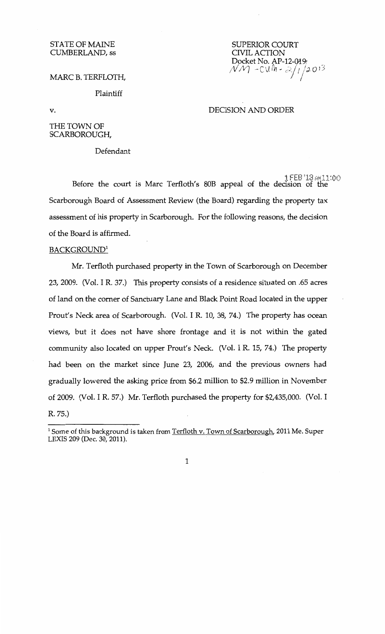# STATE OF MAINE CUMBERLAND, ss

# SUPERIOR COURT CIVIL ACTION Docket No. AP-12-019<br>NM -CUM*+ 2*.//2013 I

DECISION AND ORDER

## MARC B. TERFLOTH,

## Plaintiff

v.

## THE TOWN OF SCARBOROUGH,

## Defendant

1FEB '13 AM11:00 Before the court is Marc Terfloth's 80B appeal of the decision of the Scarborough Board of Assessment Review (the Board) regarding the property tax assessment of his property in Scarborough. For the following reasons, the decision of the Board is affirmed.

## BACKGROUND<sup>1</sup>

Mr. Terfloth purchased property in the Town of Scarborough on December 23, 2009. (Vol. I R. 37.) This property consists of a residence situated on .65 acres of land on the corner of Sanctuary Lane and Black Point Road located in the upper Prout's Neck area of Scarborough. (Vol. I R. 10, 38, 74.) The property has ocean views, but it does not have shore frontage and it is not within the gated community also located on upper Prout's Neck. (Vol. I R. 15, 74.) The property had been on the market since June 23, 2006, and the previous owners had gradually lowered the asking price from \$6.2 million to \$2.9 million in November of 2009. (Vol. I R. 57.) Mr. Terfloth purchased the property for \$2,435,000. (Vol. I R. 75.)

<sup>&</sup>lt;sup>1</sup> Some of this background is taken from Terfloth v. Town of Scarborough, 2011 Me. Super LEXIS 209 (Dec. 30, 2011).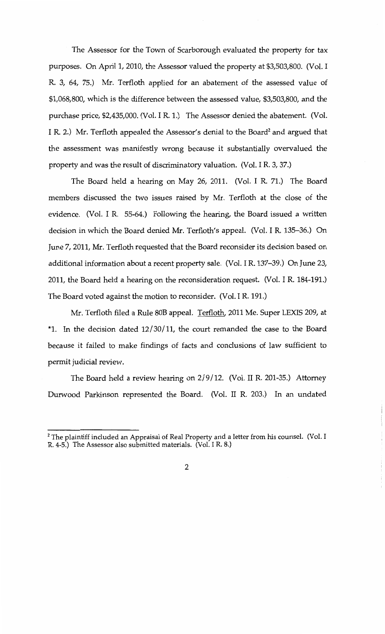The Assessor for the Town of Scarborough evaluated the property for tax purposes. On April 1, 2010, the Assessor valued the property at \$3,503,800. (Vol. I R. 3, 64, 75.) Mr. Terfloth applied for an abatement of the assessed value of \$1,068,800, which is the difference between the assessed value, \$3,503,800, and the purchase price, \$2,435,000. (Vol. I R. 1.) The Assessor denied the abatement. (Vol. I R. 2.) Mr. Terfloth appealed the Assessor's denial to the Board<sup>2</sup> and argued that the assessment was manifestly wrong because it substantially overvalued the property and was the result of discriminatory valuation. (Vol. I R. 3, 37.)

The Board held a hearing on May 26, 2011. (Vol. I R. 71.) The Board members discussed the two issues raised by Mr. Terfloth at the close of the evidence. (Vol. I R. 55-64.) Following the hearing, the Board issued a written decision in which the Board denied Mr. Terfloth's appeal. (Vol. I R. 135-36.) On June 7, 2011, Mr. Terfloth requested that the Board reconsider its decision based on additional information about a recent property sale. (Vol. I R. 137-39.) On June 23, 2011, the Board held a hearing on the reconsideration request. (Vol. I R. 184-191.) The Board voted against the motion to reconsider. (Vol. I R. 191.)

Mr. Terfloth filed a Rule *BOB* appeal. Terfloth, 2011 Me. Super LEXIS 209, at \*1. In the decision dated 12/30/11, the court remanded the case to the Board because it failed to make findings of facts and conclusions of law sufficient to permit judicial review.

The Board held a review hearing on 2/9/12. (Vol. II R. 201-35.) Attorney Durwood Parkinson represented the Board. (Vol. II R. 203.) In an undated

 $2$  The plaintiff included an Appraisal of Real Property and a letter from his counsel. (Vol. I R. 4-5.) The Assessor also submitted materials. (Vol. I R. 8.)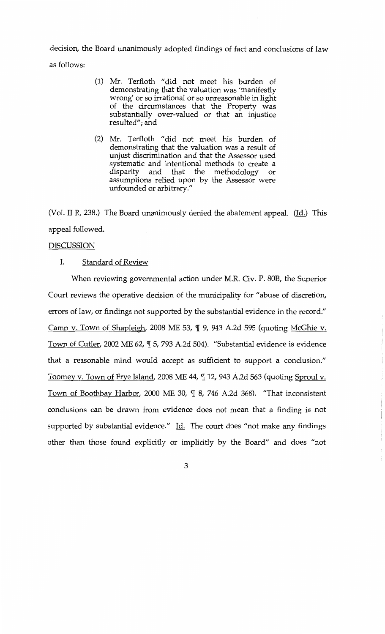decision, the Board unanimously adopted findings of fact and conclusions of law as follows:

- (1) Mr. Terfloth "did not meet his burden of demonstrating that the valuation was 'manifestly wrong' or so irrational or so unreasonable in light of the circumstances that the Property was substantially over-valued or that an injustice resulted"; and
- (2) Mr. Terfloth "did not meet his burden of demonstrating that the valuation was a result of unjust discrimination and that the Assessor used systematic and intentional methods to create a disparity and that the methodology or assumptions relied upon by the Assessor were unfounded or arbitrary."

(Vol. II R. 238.) The Board unanimously denied the abatement appeal. (Id.) This appeal followed.

#### DISCUSSION

#### I. Standard of Review

When reviewing governmental action under M.R. Civ. P. BOB, the Superior Court reviews the operative decision of the municipality for "abuse of discretion, errors of law, or findings not supported by the substantial evidence in the record." Camp v. Town of Shapleigh, 2008 ME 53,  $\P$  9, 943 A.2d 595 (quoting McGhie v. Town of Cutler, 2002 ME 62,  $\P$  5, 793 A.2d 504). "Substantial evidence is evidence that a reasonable mind would accept as sufficient to support a conclusion." Toomey v. Town of Frye Island, 2008 ME 44,  $\parallel$  12, 943 A.2d 563 (quoting Sproul v. Town of Boothbay Harbor, 2000 ME 30,  $\P$  8, 746 A.2d 368). "That inconsistent conclusions can be drawn from evidence does not mean that a finding is not supported by substantial evidence." Id. The court does "not make any findings other than those found explicitly or implicitly by the Board" and does "not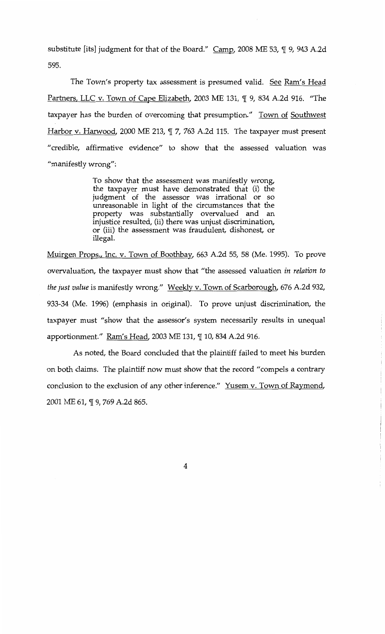substitute [its] judgment for that of the Board."  $\text{Camp}$ , 2008 ME 53,  $\P$  9, 943 A.2d 595.

The Town's property tax assessment is presumed valid. See Ram's Head Partners, LLC v. Town of Cape Elizabeth, 2003 ME 131,  $\P$  9, 834 A.2d 916. "The taxpayer has the burden of overcoming that presumption." Town of Southwest Harbor v. Harwood, 2000 ME 213,  $\P$  7, 763 A.2d 115. The taxpayer must present "credible, affirmative evidence" to show that the assessed valuation was "manifestly wrong":

> To show that the assessment was manifestly wrong, the taxpayer must have demonstrated that (i) the judgment of the assessor was irrational or so unreasonable in light of the circumstances that the property was substantially overvalued and an injustice resulted, (ii) there was unjust discrimination, or (iii) the assessment was fraudulent, dishonest, or illegal.

Muirgen Props., Inc. v. Town of Boothbay, 663 A.2d 55, 58 (Me. 1995). To prove overvaluation, the taxpayer must show that "the assessed valuation *in relation to the just value* is manifestly wrong." Weekly v. Town of Scarborough, 676 A.2d 932, 933-34 (Me. 1996) (emphasis in original). To prove unjust discrimination, the taxpayer must "show that the assessor's system necessarily results in unequal apportionment." Ram's Head, 2003 ME 131,  $\P$  10, 834 A.2d 916.

As noted, the Board concluded that the plaintiff failed to meet his burden on both claims. The plaintiff now must show that the record "compels a contrary conclusion to the exclusion of any other inference." Yusem v. Town of Raymond, 2001 ME 61, ¶ 9, 769 A.2d 865.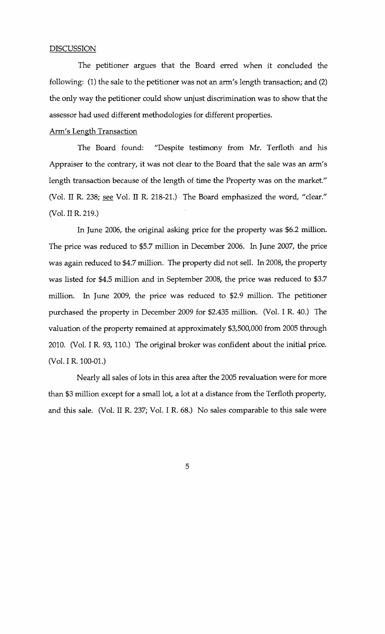#### DISCUSSION

The petitioner argues that the Board erred when it concluded the following: (1) the sale to the petitioner was not an arm's length transaction; and (2) the only way the petitioner could show unjust discrimination was to show that the assessor had used different methodologies for different properties.

#### Arm's Length Transaction

The Board found: "Despite testimony from Mr. Terfloth and his Appraiser to the contrary, it was not clear to the Board that the sale was an arm's length transaction because of the length of time the Property was on the market." (Vol. II R. 238; see Vol. II R. 218-21.) The Board emphasized the word, "clear." (Vol. II R. 219.)

In June 2006, the original asking price for the property was \$6.2 million. The price was reduced to \$5.7 million in December 2006. In June 2007, the price was again reduced to \$4.7 million. The property did not sell. In 2008, the property was listed for \$4.5 million and in September 2008, the price was reduced to \$3.7 million. In June 2009, the price was reduced to \$2.9 million. The petitioner purchased the property in December 2009 for \$2.435 million. (Vol. I R. 40.) The valuation of the property remained at approximately \$3,500,000 from 2005 through 2010. (Vol. I R. 93, 110.) The original broker was confident about the initial price. (Vol. I R. 100-01.)

Nearly all sales of lots in this area after the 2005 revaluation were for more than \$3 million except for a small lot, a lot at a distance from the Terfloth property, and this sale. (Vol. II R. 237; Vol. I R. 68.) No sales comparable to this sale were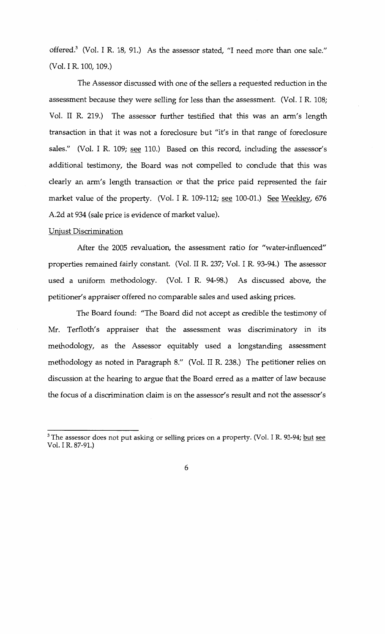offered.<sup>3</sup> (Vol. I R. 18, 91.) As the assessor stated, "I need more than one sale." (Vol. I R. 100, 109.)

The Assessor discussed with one of the sellers a requested reduction in the assessment because they were selling for less than the assessment. (Vol. I R. 108; Vol. IT R. 219.) The assessor further testified that this was an arm's length transaction in that it was not a foreclosure but "it's in that range of foreclosure sales." (Vol. I R. 109; see 110.) Based on this record, including the assessor's additional testimony, the Board was not compelled to conclude that this was clearly an arm's length transaction or that the price paid represented the fair market value of the property. (Vol. I R. 109-112; see 100-01.) See Weekley, 676 A.2d at 934 (sale price is evidence of market value).

#### Unjust Discrimination

After the 2005 revaluation, the assessment ratio for "water-influenced" properties remained fairly constant. (Vol. II R. 237; Vol. I R. 93-94.) The assessor used a uniform methodology. (Vol. I R. 94-98.) As discussed above, the petitioner's appraiser offered no comparable sales and used asking prices.

The Board found: "The Board did not accept as credible the testimony of Mr. Terfloth's appraiser that the assessment was discriminatory in its methodology, as the Assessor equitably used a longstanding assessment methodology as noted in Paragraph 8." (Vol. II R. 238.) The petitioner relies on discussion at the hearing to argue that the Board erred as a matter of law because the focus of a discrimination claim is on the assessor's result and not the assessor's

<sup>&</sup>lt;sup>3</sup> The assessor does not put asking or selling prices on a property. (Vol. I R. 93-94; but see Vol. I R. 87-91.)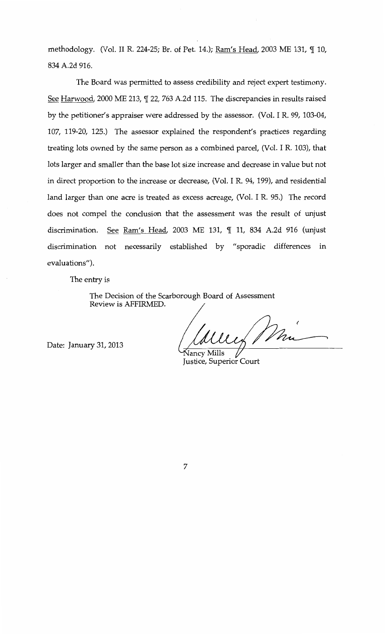methodology. (Vol. II R. 224-25; Br. of Pet. 14.); Ram's Head, 2003 ME 131, 110, 834 A.2d 916.

The Board was permitted to assess credibility and reject expert testimony. See Harwood, 2000 ME 213,  $\mathbb{I}$  22, 763 A.2d 115. The discrepancies in results raised by the petitioner's appraiser were addressed by the assessor. (Vol. I R. 99, 103-04, 107, 119-20, 125.) The assessor explained the respondent's practices regarding treating lots owned by the same person as a combined parcel, (Vol. I R. 103), that lots larger and smaller than the base lot size increase and decrease in value but not in direct proportion to the increase or decrease, (Vol. I R. 94, 199), and residential land larger than one acre is treated as excess acreage, (Vol. I R. 95.) The record does not compel the conclusion that the assessment was the result of unjust discrimination. See Ram's Head, 2003 ME 131, ¶ 11, 834 A.2d 916 (unjust discrimination not necessarily established by "sporadic differences in evaluations").

The entry is

The Decision of the Scarborough Board of Assessment Review is AFFIRMED.

Date: January 31, 2013

und Mi

ancy Mills Justice, Superior Court